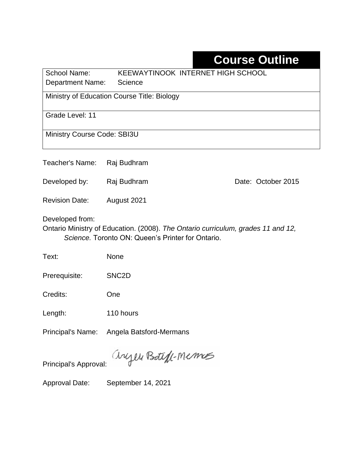## **Course Outline**

School Name: KEEWAYTINOOK INTERNET HIGH SCHOOL Department Name: Science

Ministry of Education Course Title: Biology

Grade Level: 11

Ministry Course Code: SBI3U

Teacher's Name: Raj Budhram

Developed by: Raj Budhram Date: October 2015

Revision Date: August 2021

Developed from:

Ontario Ministry of Education. (2008). *The Ontario curriculum, grades 11 and 12, Science.* Toronto ON: Queen's Printer for Ontario.

Text: None

Prerequisite: SNC2D

Credits: One

Length: 110 hours

Principal's Name: Angela Batsford-Mermans

anyen Boteff-Memos

Principal's Approval:

Approval Date: September 14, 2021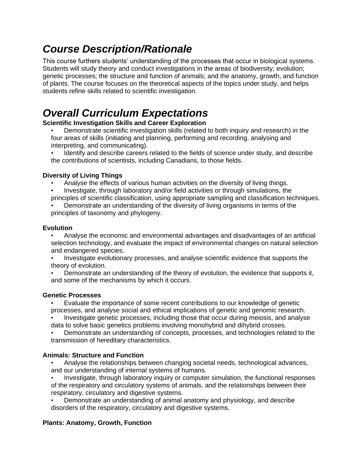### *Course Description/Rationale*

This course furthers students' understanding of the processes that occur in biological systems. Students will study theory and conduct investigations in the areas of biodiversity; evolution; genetic processes; the structure and function of animals; and the anatomy, growth, and function of plants. The course focuses on the theoretical aspects of the topics under study, and helps students refine skills related to scientific investigation.

### *Overall Curriculum Expectations*

#### **Scientific Investigation Skills and Career Exploration**

- Demonstrate scientific investigation skills (related to both inquiry and research) in the four areas of skills (initiating and planning, performing and recording, analysing and interpreting, and communicating).
- Identify and describe careers related to the fields of science under study, and describe the contributions of scientists, including Canadians, to those fields.

#### **Diversity of Living Things**

- Analyse the effects of various human activities on the diversity of living things.
- Investigate, through laboratory and/or field activities or through simulations, the principles of scientific classification, using appropriate sampling and classification techniques.
- Demonstrate an understanding of the diversity of living organisms in terms of the principles of taxonomy and phylogeny.

#### **Evolution**

- Analyse the economic and environmental advantages and disadvantages of an artificial selection technology, and evaluate the impact of environmental changes on natural selection and endangered species.
- Investigate evolutionary processes, and analyse scientific evidence that supports the theory of evolution.
- Demonstrate an understanding of the theory of evolution, the evidence that supports it, and some of the mechanisms by which it occurs.

#### **Genetic Processes**

• Evaluate the importance of some recent contributions to our knowledge of genetic processes, and analyse social and ethical implications of genetic and genomic research.

• Investigate genetic processes, including those that occur during meiosis, and analyse data to solve basic genetics problems involving monohybrid and dihybrid crosses.

• Demonstrate an understanding of concepts, processes, and technologies related to the transmission of hereditary characteristics.

#### **Animals: Structure and Function**

- Analyse the relationships between changing societal needs, technological advances, and our understanding of internal systems of humans.
- Investigate, through laboratory inquiry or computer simulation, the functional responses of the respiratory and circulatory systems of animals, and the relationships between their respiratory, circulatory and digestive systems.
- Demonstrate an understanding of animal anatomy and physiology, and describe disorders of the respiratory, circulatory and digestive systems.

#### **Plants: Anatomy, Growth, Function**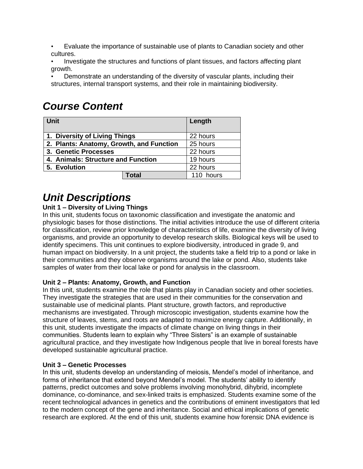• Evaluate the importance of sustainable use of plants to Canadian society and other cultures.

• Investigate the structures and functions of plant tissues, and factors affecting plant growth.

• Demonstrate an understanding of the diversity of vascular plants, including their structures, internal transport systems, and their role in maintaining biodiversity.

### *Course Content*

| <b>Unit</b>                              |       | Length    |
|------------------------------------------|-------|-----------|
| 1. Diversity of Living Things            |       | 22 hours  |
| 2. Plants: Anatomy, Growth, and Function |       | 25 hours  |
| 3. Genetic Processes                     |       | 22 hours  |
| 4. Animals: Structure and Function       |       | 19 hours  |
| 5. Evolution                             |       | 22 hours  |
|                                          | Total | 110 hours |

### *Unit Descriptions*

#### **Unit 1 – Diversity of Living Things**

In this unit, students focus on taxonomic classification and investigate the anatomic and physiologic bases for those distinctions. The initial activities introduce the use of different criteria for classification, review prior knowledge of characteristics of life, examine the diversity of living organisms, and provide an opportunity to develop research skills. Biological keys will be used to identify specimens. This unit continues to explore biodiversity, introduced in grade 9, and human impact on biodiversity. In a unit project, the students take a field trip to a pond or lake in their communities and they observe organisms around the lake or pond. Also, students take samples of water from their local lake or pond for analysis in the classroom.

#### **Unit 2 – Plants: Anatomy, Growth, and Function**

In this unit, students examine the role that plants play in Canadian society and other societies. They investigate the strategies that are used in their communities for the conservation and sustainable use of medicinal plants. Plant structure, growth factors, and reproductive mechanisms are investigated. Through microscopic investigation, students examine how the structure of leaves, stems, and roots are adapted to maximize energy capture. Additionally, in this unit, students investigate the impacts of climate change on living things in their communities. Students learn to explain why "Three Sisters" is an example of sustainable agricultural practice, and they investigate how Indigenous people that live in boreal forests have developed sustainable agricultural practice.

#### **Unit 3 – Genetic Processes**

In this unit, students develop an understanding of meiosis, Mendel's model of inheritance, and forms of inheritance that extend beyond Mendel's model. The students' ability to identify patterns, predict outcomes and solve problems involving monohybrid, dihybrid, incomplete dominance, co-dominance, and sex-linked traits is emphasized. Students examine some of the recent technological advances in genetics and the contributions of eminent investigators that led to the modern concept of the gene and inheritance. Social and ethical implications of genetic research are explored. At the end of this unit, students examine how forensic DNA evidence is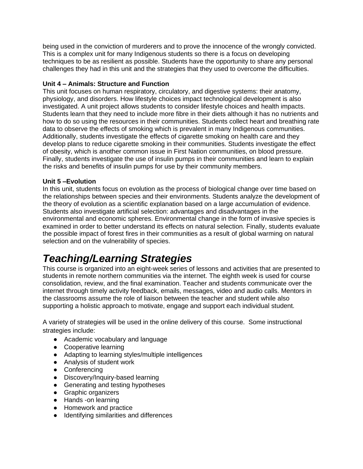being used in the conviction of murderers and to prove the innocence of the wrongly convicted. This is a complex unit for many Indigenous students so there is a focus on developing techniques to be as resilient as possible. Students have the opportunity to share any personal challenges they had in this unit and the strategies that they used to overcome the difficulties.

#### **Unit 4 – Animals: Structure and Function**

This unit focuses on human respiratory, circulatory, and digestive systems: their anatomy, physiology, and disorders. How lifestyle choices impact technological development is also investigated. A unit project allows students to consider lifestyle choices and health impacts. Students learn that they need to include more fibre in their diets although it has no nutrients and how to do so using the resources in their communities. Students collect heart and breathing rate data to observe the effects of smoking which is prevalent in many Indigenous communities. Additionally, students investigate the effects of cigarette smoking on health care and they develop plans to reduce cigarette smoking in their communities. Students investigate the effect of obesity, which is another common issue in First Nation communities, on blood pressure. Finally, students investigate the use of insulin pumps in their communities and learn to explain the risks and benefits of insulin pumps for use by their community members.

#### **Unit 5 –Evolution**

In this unit, students focus on evolution as the process of biological change over time based on the relationships between species and their environments. Students analyze the development of the theory of evolution as a scientific explanation based on a large accumulation of evidence. Students also investigate artificial selection: advantages and disadvantages in the environmental and economic spheres. Environmental change in the form of invasive species is examined in order to better understand its effects on natural selection. Finally, students evaluate the possible impact of forest fires in their communities as a result of global warming on natural selection and on the vulnerability of species.

## *Teaching/Learning Strategies*

This course is organized into an eight-week series of lessons and activities that are presented to students in remote northern communities via the internet. The eighth week is used for course consolidation, review, and the final examination. Teacher and students communicate over the internet through timely activity feedback, emails, messages, video and audio calls. Mentors in the classrooms assume the role of liaison between the teacher and student while also supporting a holistic approach to motivate, engage and support each individual student.

A variety of strategies will be used in the online delivery of this course. Some instructional strategies include:

- Academic vocabulary and language
- Cooperative learning
- Adapting to learning styles/multiple intelligences
- Analysis of student work
- Conferencing
- Discovery/Inquiry-based learning
- Generating and testing hypotheses
- Graphic organizers
- Hands -on learning
- Homework and practice
- Identifying similarities and differences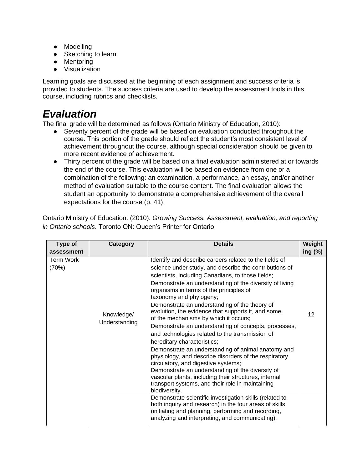- Modelling
- Sketching to learn
- Mentoring
- Visualization

Learning goals are discussed at the beginning of each assignment and success criteria is provided to students. The success criteria are used to develop the assessment tools in this course, including rubrics and checklists.

## *Evaluation*

The final grade will be determined as follows (Ontario Ministry of Education, 2010):

- Seventy percent of the grade will be based on evaluation conducted throughout the course. This portion of the grade should reflect the student's most consistent level of achievement throughout the course, although special consideration should be given to more recent evidence of achievement.
- Thirty percent of the grade will be based on a final evaluation administered at or towards the end of the course. This evaluation will be based on evidence from one or a combination of the following: an examination, a performance, an essay, and/or another method of evaluation suitable to the course content. The final evaluation allows the student an opportunity to demonstrate a comprehensive achievement of the overall expectations for the course (p. 41).

| Ontario Ministry of Education. (2010). Growing Success: Assessment, evaluation, and reporting |  |  |
|-----------------------------------------------------------------------------------------------|--|--|
| in Ontario schools. Toronto ON: Queen's Printer for Ontario                                   |  |  |

| Type of                   | Category                    | <b>Details</b>                                                                                                                                                                                                                                                                                                                                                                                                                                                                                                                                                                                                                                                                                                                                                                                                                                                                                                                            | Weight  |
|---------------------------|-----------------------------|-------------------------------------------------------------------------------------------------------------------------------------------------------------------------------------------------------------------------------------------------------------------------------------------------------------------------------------------------------------------------------------------------------------------------------------------------------------------------------------------------------------------------------------------------------------------------------------------------------------------------------------------------------------------------------------------------------------------------------------------------------------------------------------------------------------------------------------------------------------------------------------------------------------------------------------------|---------|
| assessment                |                             |                                                                                                                                                                                                                                                                                                                                                                                                                                                                                                                                                                                                                                                                                                                                                                                                                                                                                                                                           | ing (%) |
| <b>Term Work</b><br>(70%) | Knowledge/<br>Understanding | Identify and describe careers related to the fields of<br>science under study, and describe the contributions of<br>scientists, including Canadians, to those fields;<br>Demonstrate an understanding of the diversity of living<br>organisms in terms of the principles of<br>taxonomy and phylogeny;<br>Demonstrate an understanding of the theory of<br>evolution, the evidence that supports it, and some<br>of the mechanisms by which it occurs;<br>Demonstrate an understanding of concepts, processes,<br>and technologies related to the transmission of<br>hereditary characteristics;<br>Demonstrate an understanding of animal anatomy and<br>physiology, and describe disorders of the respiratory,<br>circulatory, and digestive systems;<br>Demonstrate an understanding of the diversity of<br>vascular plants, including their structures, internal<br>transport systems, and their role in maintaining<br>biodiversity. | 12      |
|                           |                             | Demonstrate scientific investigation skills (related to<br>both inquiry and research) in the four areas of skills<br>(initiating and planning, performing and recording,<br>analyzing and interpreting, and communicating);                                                                                                                                                                                                                                                                                                                                                                                                                                                                                                                                                                                                                                                                                                               |         |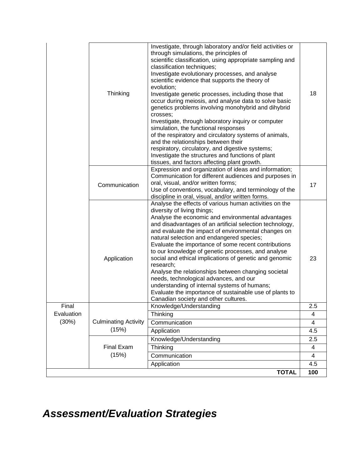|            | Thinking                             | Investigate, through laboratory and/or field activities or<br>through simulations, the principles of<br>scientific classification, using appropriate sampling and<br>classification techniques;<br>Investigate evolutionary processes, and analyse<br>scientific evidence that supports the theory of<br>evolution;<br>Investigate genetic processes, including those that<br>occur during meiosis, and analyse data to solve basic<br>genetics problems involving monohybrid and dihybrid<br>crosses;<br>Investigate, through laboratory inquiry or computer<br>simulation, the functional responses<br>of the respiratory and circulatory systems of animals,<br>and the relationships between their<br>respiratory, circulatory, and digestive systems;<br>Investigate the structures and functions of plant | 18                    |
|------------|--------------------------------------|-----------------------------------------------------------------------------------------------------------------------------------------------------------------------------------------------------------------------------------------------------------------------------------------------------------------------------------------------------------------------------------------------------------------------------------------------------------------------------------------------------------------------------------------------------------------------------------------------------------------------------------------------------------------------------------------------------------------------------------------------------------------------------------------------------------------|-----------------------|
|            |                                      | tissues, and factors affecting plant growth.                                                                                                                                                                                                                                                                                                                                                                                                                                                                                                                                                                                                                                                                                                                                                                    |                       |
|            | Communication                        | Expression and organization of ideas and information;<br>Communication for different audiences and purposes in<br>oral, visual, and/or written forms;<br>Use of conventions, vocabulary, and terminology of the<br>discipline in oral, visual, and/or written forms.                                                                                                                                                                                                                                                                                                                                                                                                                                                                                                                                            | 17                    |
|            | Application                          | Analyse the effects of various human activities on the<br>diversity of living things;<br>Analyse the economic and environmental advantages<br>and disadvantages of an artificial selection technology,<br>and evaluate the impact of environmental changes on<br>natural selection and endangered species;<br>Evaluate the importance of some recent contributions<br>to our knowledge of genetic processes, and analyse<br>social and ethical implications of genetic and genomic<br>research;<br>Analyse the relationships between changing societal<br>needs, technological advances, and our<br>understanding of internal systems of humans;<br>Evaluate the importance of sustainable use of plants to<br>Canadian society and other cultures.                                                             | 23                    |
| Final      |                                      | Knowledge/Understanding                                                                                                                                                                                                                                                                                                                                                                                                                                                                                                                                                                                                                                                                                                                                                                                         | 2.5                   |
| Evaluation |                                      | Thinking                                                                                                                                                                                                                                                                                                                                                                                                                                                                                                                                                                                                                                                                                                                                                                                                        | 4                     |
| (30%)      | <b>Culminating Activity</b><br>(15%) | Communication                                                                                                                                                                                                                                                                                                                                                                                                                                                                                                                                                                                                                                                                                                                                                                                                   | 4                     |
|            |                                      | Application                                                                                                                                                                                                                                                                                                                                                                                                                                                                                                                                                                                                                                                                                                                                                                                                     | 4.5                   |
|            |                                      | Knowledge/Understanding                                                                                                                                                                                                                                                                                                                                                                                                                                                                                                                                                                                                                                                                                                                                                                                         | 2.5                   |
|            | <b>Final Exam</b><br>(15%)           | Thinking                                                                                                                                                                                                                                                                                                                                                                                                                                                                                                                                                                                                                                                                                                                                                                                                        | 4                     |
|            |                                      | Communication<br>Application                                                                                                                                                                                                                                                                                                                                                                                                                                                                                                                                                                                                                                                                                                                                                                                    | $\overline{4}$<br>4.5 |
|            |                                      | <b>TOTAL</b>                                                                                                                                                                                                                                                                                                                                                                                                                                                                                                                                                                                                                                                                                                                                                                                                    | 100                   |

# *Assessment/Evaluation Strategies*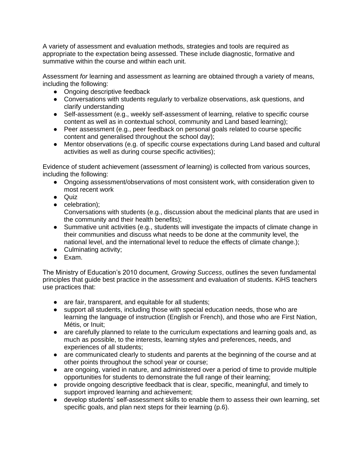A variety of assessment and evaluation methods, strategies and tools are required as appropriate to the expectation being assessed. These include diagnostic, formative and summative within the course and within each unit.

Assessment *for* learning and assessment *as* learning are obtained through a variety of means, including the following:

- Ongoing descriptive feedback
- Conversations with students regularly to verbalize observations, ask questions, and clarify understanding
- Self-assessment (e.g., weekly self-assessment of learning, relative to specific course content as well as in contextual school, community and Land based learning);
- Peer assessment (e.g., peer feedback on personal goals related to course specific content and generalised throughout the school day);
- Mentor observations (e.g. of specific course expectations during Land based and cultural activities as well as during course specific activities);

Evidence of student achievement (assessment *of* learning) is collected from various sources, including the following:

- Ongoing assessment/observations of most consistent work, with consideration given to most recent work
- Quiz
- celebration);

Conversations with students (e.g., discussion about the medicinal plants that are used in the community and their health benefits);

- Summative unit activities (e.g., students will investigate the impacts of climate change in their communities and discuss what needs to be done at the community level, the national level, and the international level to reduce the effects of climate change.);
- Culminating activity;
- Exam.

The Ministry of Education's 2010 document, *Growing Success*, outlines the seven fundamental principles that guide best practice in the assessment and evaluation of students. KiHS teachers use practices that:

- are fair, transparent, and equitable for all students;
- support all students, including those with special education needs, those who are learning the language of instruction (English or French), and those who are First Nation, Métis, or Inuit;
- are carefully planned to relate to the curriculum expectations and learning goals and, as much as possible, to the interests, learning styles and preferences, needs, and experiences of all students;
- are communicated clearly to students and parents at the beginning of the course and at other points throughout the school year or course;
- are ongoing, varied in nature, and administered over a period of time to provide multiple opportunities for students to demonstrate the full range of their learning;
- provide ongoing descriptive feedback that is clear, specific, meaningful, and timely to support improved learning and achievement;
- develop students' self-assessment skills to enable them to assess their own learning, set specific goals, and plan next steps for their learning (p.6).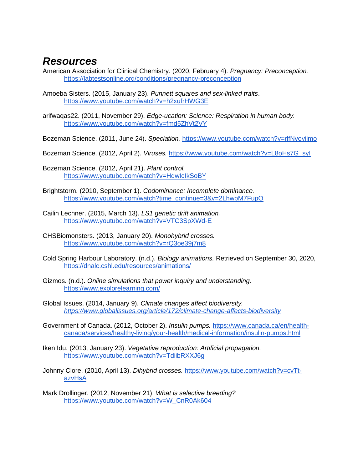### *Resources*

- American Association for Clinical Chemistry. (2020, February 4). *Pregnancy: Preconception.*  <https://labtestsonline.org/conditions/pregnancy-preconception>
- Amoeba Sisters. (2015, January 23). *Punnett squares and sex-linked traits*. <https://www.youtube.com/watch?v=h2xufrHWG3E>
- arifwaqas22. (2011, November 29). *Edge-ucation: Science: Respiration in human body.* <https://www.youtube.com/watch?v=fmd5ZhVt2VY>
- Bozeman Science. (2011, June 24). *Speciation.* <https://www.youtube.com/watch?v=rlfNvoyijmo>
- Bozeman Science. (2012, April 2). *Viruses.* [https://www.youtube.com/watch?v=L8oHs7G\\_syI](https://www.youtube.com/watch?v=L8oHs7G_syI)
- Bozeman Science. (2012, April 21). *Plant control.*  <https://www.youtube.com/watch?v=HdwIcIkSoBY>
- Brightstorm. (2010, September 1). *Codominance: Incomplete dominance.*  [https://www.youtube.com/watch?time\\_continue=3&v=2LhwbM7FupQ](https://www.youtube.com/watch?time_continue=3&v=2LhwbM7FupQ)
- Cailin Lechner. (2015, March 13). *LS1 genetic drift animation.* <https://www.youtube.com/watch?v=VTC3SpXWd-E>
- CHSBiomonsters. (2013, January 20). *Monohybrid crosses.*  <https://www.youtube.com/watch?v=rQ3oe39j7m8>
- Cold Spring Harbour Laboratory. (n.d.). *Biology animations.* Retrieved on September 30, 2020, <https://dnalc.cshl.edu/resources/animations/>
- Gizmos. (n.d.). *Online simulations that power inquiry and understanding.* <https://www.explorelearning.com/>
- Global Issues. (2014, January 9). *Climate changes affect biodiversity. <https://www.globalissues.org/article/172/climate-change-affects-biodiversity>*
- Government of Canada. (2012, October 2). *Insulin pumps.* [https://www.canada.ca/en/health](https://www.canada.ca/en/health-canada/services/healthy-living/your-health/medical-information/insulin-pumps.html)[canada/services/healthy-living/your-health/medical-information/insulin-pumps.html](https://www.canada.ca/en/health-canada/services/healthy-living/your-health/medical-information/insulin-pumps.html)
- Iken Idu. (2013, January 23). *Vegetative reproduction: Artificial propagation.*  <https://www.youtube.com/watch?v=TdiibRXXJ6g>
- Johnny Clore. (2010, April 13). *Dihybrid crosses.* [https://www.youtube.com/watch?v=cvTt](https://www.youtube.com/watch?v=cvTt-azvHsA)[azvHsA](https://www.youtube.com/watch?v=cvTt-azvHsA)
- Mark Drollinger. (2012, November 21). *What is selective breeding?* [https://www.youtube.com/watch?v=W\\_CnR0Ak604](https://www.youtube.com/watch?v=W_CnR0Ak604)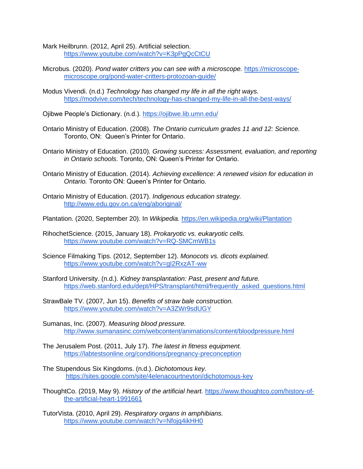Mark Heilbrunn. (2012, April 25). Artificial selection. <https://www.youtube.com/watch?v=K3pPgQcCtCU>

- Microbus. (2020). *Pond water critters you can see with a microscope.* [https://microscope](https://microscope-microscope.org/pond-water-critters-protozoan-guide/)[microscope.org/pond-water-critters-protozoan-guide/](https://microscope-microscope.org/pond-water-critters-protozoan-guide/)
- Modus Vivendi. (n.d.) *Technology has changed my life in all the right ways.*  <https://modvive.com/tech/technology-has-changed-my-life-in-all-the-best-ways/>

Ojibwe People's Dictionary. (n.d.).<https://ojibwe.lib.umn.edu/>

- Ontario Ministry of Education. (2008). *The Ontario curriculum grades 11 and 12: Science.*  Toronto, ON: Queen's Printer for Ontario.
- Ontario Ministry of Education. (2010)*. Growing success: Assessment, evaluation, and reporting in Ontario schools*. Toronto, ON: Queen's Printer for Ontario.
- Ontario Ministry of Education. (2014). *Achieving excellence: A renewed vision for education in Ontario.* Toronto ON: Queen's Printer for Ontario.
- Ontario Ministry of Education. (2017). *Indigenous education strategy.*  <http://www.edu.gov.on.ca/eng/aboriginal/>
- Plantation. (2020, September 20). In *Wikipedia.* <https://en.wikipedia.org/wiki/Plantation>
- RihochetScience. (2015, January 18). *Prokaryotic vs. eukaryotic cells.* <https://www.youtube.com/watch?v=RQ-SMCmWB1s>
- Science Filmaking Tips. (2012, September 12). *Monocots vs. dicots explained.*  <https://www.youtube.com/watch?v=gI2RxzAT-ww>
- Stanford University. (n.d.). *Kidney transplantation: Past, present and future.*  [https://web.stanford.edu/dept/HPS/transplant/html/frequently\\_asked\\_questions.html](https://web.stanford.edu/dept/HPS/transplant/html/frequently_asked_questions.html)
- StrawBale TV. (2007, Jun 15). *Benefits of straw bale construction.*  <https://www.youtube.com/watch?v=A3ZWr9sdUGY>
- Sumanas, Inc. (2007). *Measuring blood pressure.*  <http://www.sumanasinc.com/webcontent/animations/content/bloodpressure.html>
- The Jerusalem Post. (2011, July 17). *The latest in fitness equipment.*  <https://labtestsonline.org/conditions/pregnancy-preconception>
- The Stupendous Six Kingdoms. (n.d.). *Dichotomous key.*  <https://sites.google.com/site/4elenacourtneytori/dichotomous-key>
- ThoughtCo. (2019, May 9). *History of the artificial heart.* [https://www.thoughtco.com/history-of](https://www.thoughtco.com/history-of-the-artificial-heart-1991661)[the-artificial-heart-1991661](https://www.thoughtco.com/history-of-the-artificial-heart-1991661)
- TutorVista. (2010, April 29). *Respiratory organs in amphibians.*  <https://www.youtube.com/watch?v=Nfojq4ikHH0>